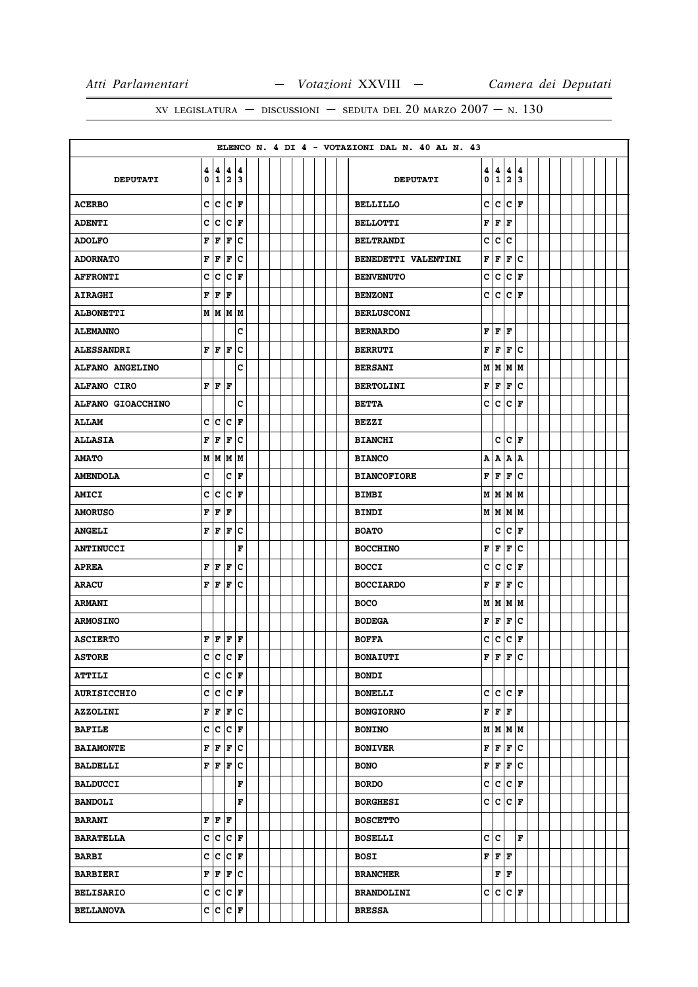# XV LEGISLATURA — DISCUSSIONI — SEDUTA DEL 20 MARZO  $2007 - N. 130$

|                    |        |                    |                                           |     |  |  |  |  |  | ELENCO N. 4 DI 4 - VOTAZIONI DAL N. 40 AL N. 43 |        |     |             |                        |  |  |  |  |
|--------------------|--------|--------------------|-------------------------------------------|-----|--|--|--|--|--|-------------------------------------------------|--------|-----|-------------|------------------------|--|--|--|--|
| <b>DEPUTATI</b>    | 4<br>0 |                    | 4 4 4<br>1/2/3                            |     |  |  |  |  |  | <b>DEPUTATI</b>                                 | 4<br>0 | 4   | 4<br> 1 2 3 | 4                      |  |  |  |  |
| <b>ACERBO</b>      | c      | c                  | c                                         | F   |  |  |  |  |  | <b>BELLILLO</b>                                 | C      | lc. | c           | l F                    |  |  |  |  |
| <b>ADENTI</b>      | c      | c                  | ∣c                                        | F   |  |  |  |  |  | <b>BELLOTTI</b>                                 | F      | F   | F           |                        |  |  |  |  |
| <b>ADOLFO</b>      | F      | F                  | F                                         | c   |  |  |  |  |  | <b>BELTRANDI</b>                                | C      | lc. | c           |                        |  |  |  |  |
| <b>ADORNATO</b>    | F      | F                  | F                                         | c   |  |  |  |  |  | BENEDETTI VALENTINI                             | F      | F   | F           | lc                     |  |  |  |  |
| <b>AFFRONTI</b>    | C      | C                  | C                                         | F   |  |  |  |  |  | <b>BENVENUTO</b>                                | c      | c   | c           | F                      |  |  |  |  |
| <b>AIRAGHI</b>     | F      | F                  | F                                         |     |  |  |  |  |  | <b>BENZONI</b>                                  | C      | c   |             | $ {\bf c}\, $ F        |  |  |  |  |
| <b>ALBONETTI</b>   |        |                    | M   M   M   M                             |     |  |  |  |  |  | <b>BERLUSCONI</b>                               |        |     |             |                        |  |  |  |  |
| <b>ALEMANNO</b>    |        |                    |                                           | C   |  |  |  |  |  | <b>BERNARDO</b>                                 | F      | F   | F           |                        |  |  |  |  |
| <b>ALESSANDRI</b>  | F      | F                  | F                                         | c   |  |  |  |  |  | <b>BERRUTI</b>                                  | F      | F   | F           | c                      |  |  |  |  |
| ALFANO ANGELINO    |        |                    |                                           | c   |  |  |  |  |  | <b>BERSANI</b>                                  | M      | M   | M           | M                      |  |  |  |  |
| <b>ALFANO CIRO</b> |        |                    | ${\bf F} \,   \, {\bf F} \,   \, {\bf F}$ |     |  |  |  |  |  | <b>BERTOLINI</b>                                | F      | F   | F           | c                      |  |  |  |  |
| ALFANO GIOACCHINO  |        |                    |                                           | C   |  |  |  |  |  | <b>BETTA</b>                                    | c      | c   | c           | F                      |  |  |  |  |
| <b>ALLAM</b>       | c      | c                  | ∣c                                        | F   |  |  |  |  |  | <b>BEZZI</b>                                    |        |     |             |                        |  |  |  |  |
| <b>ALLASIA</b>     | F      | F                  | F                                         | c   |  |  |  |  |  | <b>BIANCHI</b>                                  |        | c   |             | $ {\bf C}\>  {\bf F} $ |  |  |  |  |
| <b>AMATO</b>       | M      |                    | M M                                       | lм  |  |  |  |  |  | <b>BIANCO</b>                                   | A      | A   | A           | A                      |  |  |  |  |
| <b>AMENDOLA</b>    | c      |                    | c                                         | F   |  |  |  |  |  | <b>BIANCOFIORE</b>                              | F      | F   | F           | $\mathbf c$            |  |  |  |  |
| <b>AMICI</b>       | c      | c                  | c                                         | F   |  |  |  |  |  | <b>BIMBI</b>                                    | M      |     | M M         | M                      |  |  |  |  |
| <b>AMORUSO</b>     | F      | F                  | F                                         |     |  |  |  |  |  | <b>BINDI</b>                                    |        |     | M   M   M   |                        |  |  |  |  |
| <b>ANGELI</b>      | F      | F                  | F                                         | c   |  |  |  |  |  | <b>BOATO</b>                                    |        | C   | c           | F                      |  |  |  |  |
| <b>ANTINUCCI</b>   |        |                    |                                           | F   |  |  |  |  |  | <b>BOCCHINO</b>                                 | F      | F   | F           | lc.                    |  |  |  |  |
| <b>APREA</b>       | F      | F                  | F                                         | c   |  |  |  |  |  | <b>BOCCI</b>                                    | c      | c   | c           | F                      |  |  |  |  |
| <b>ARACU</b>       | F      | lF                 | l F                                       | c   |  |  |  |  |  | <b>BOCCIARDO</b>                                | F      | F   | F           | c                      |  |  |  |  |
| <b>ARMANI</b>      |        |                    |                                           |     |  |  |  |  |  | <b>BOCO</b>                                     | M      |     | M   M   M   |                        |  |  |  |  |
| <b>ARMOSINO</b>    |        |                    |                                           |     |  |  |  |  |  | <b>BODEGA</b>                                   | F      | F   | F           | c                      |  |  |  |  |
| <b>ASCIERTO</b>    | F      | F                  | F                                         | F   |  |  |  |  |  | <b>BOFFA</b>                                    | c      | c   | c           | F                      |  |  |  |  |
| <b>ASTORE</b>      |        | c c                | lc.                                       | F   |  |  |  |  |  | <b>BONAIUTI</b>                                 | F      | l F | F           | $\mathbf c$            |  |  |  |  |
| <b>ATTILI</b>      |        |                    | $c c c _F$                                |     |  |  |  |  |  | <b>BONDI</b>                                    |        |     |             |                        |  |  |  |  |
| <b>AURISICCHIO</b> |        |                    | $c c c _F$                                |     |  |  |  |  |  | <b>BONELLI</b>                                  | c      |     | $ c c _F$   |                        |  |  |  |  |
| <b>AZZOLINI</b>    | F      | $\bar{\mathbf{F}}$ | F                                         | lc. |  |  |  |  |  | <b>BONGIORNO</b>                                | F      | F   | F           |                        |  |  |  |  |
| <b>BAFILE</b>      |        |                    | $ c c c _F$                               |     |  |  |  |  |  | <b>BONINO</b>                                   |        |     | M   M   M   |                        |  |  |  |  |
| <b>BAIAMONTE</b>   | F      | F                  | F                                         | c   |  |  |  |  |  | <b>BONIVER</b>                                  | F      | F   | F C         |                        |  |  |  |  |
| <b>BALDELLI</b>    | F      |                    | F F                                       | c   |  |  |  |  |  | <b>BONO</b>                                     | F      | F   | F C         |                        |  |  |  |  |
| <b>BALDUCCI</b>    |        |                    |                                           | F   |  |  |  |  |  | <b>BORDO</b>                                    | c      |     | $ c c _F$   |                        |  |  |  |  |
| <b>BANDOLI</b>     |        |                    |                                           | F   |  |  |  |  |  | <b>BORGHESI</b>                                 |        | c c | $ c _F$     |                        |  |  |  |  |
| <b>BARANI</b>      | F      |                    | F F                                       |     |  |  |  |  |  | <b>BOSCETTO</b>                                 |        |     |             |                        |  |  |  |  |
| <b>BARATELLA</b>   |        |                    | $c c c _F$                                |     |  |  |  |  |  | <b>BOSELLI</b>                                  | c      | c   |             | F                      |  |  |  |  |
| <b>BARBI</b>       |        |                    | C C C F                                   |     |  |  |  |  |  | <b>BOSI</b>                                     | F      | F F |             |                        |  |  |  |  |
| <b>BARBIERI</b>    | F      | F                  | F                                         | c   |  |  |  |  |  | <b>BRANCHER</b>                                 |        | F   | F           |                        |  |  |  |  |
| <b>BELISARIO</b>   |        |                    | $c c c $ F                                |     |  |  |  |  |  | <b>BRANDOLINI</b>                               | c      | c   |             | $ c _{\mathbf{F}}$     |  |  |  |  |
| <b>BELLANOVA</b>   |        |                    | $c c c $ F                                |     |  |  |  |  |  | <b>BRESSA</b>                                   |        |     |             |                        |  |  |  |  |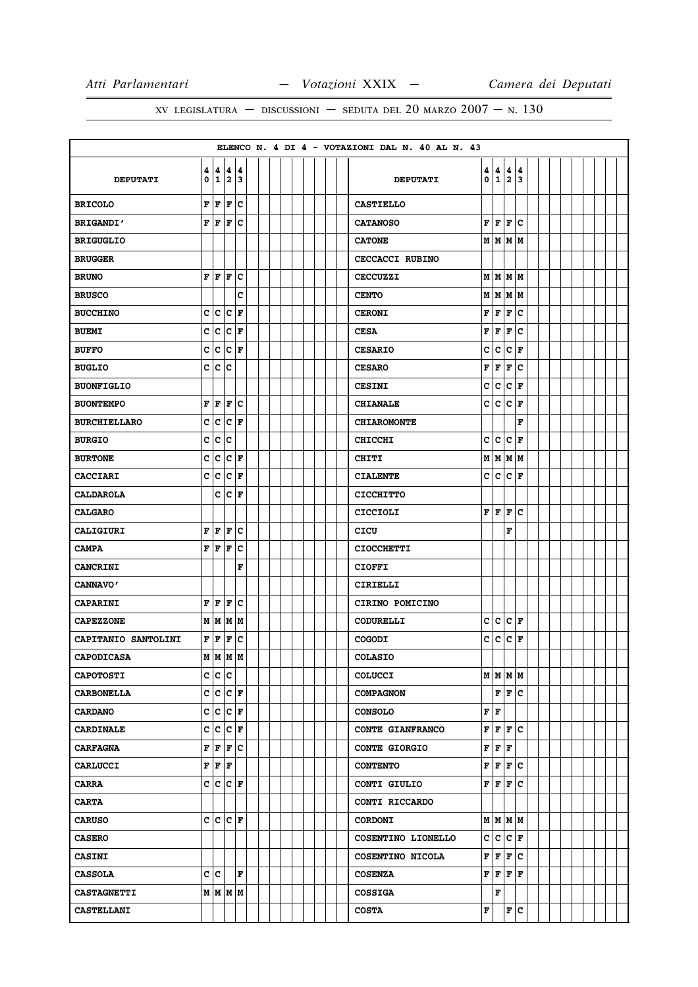# XV LEGISLATURA — DISCUSSIONI — SEDUTA DEL 20 MARZO  $2007 - N. 130$

|                     |                         |                    |                                                        |                     |  |  |  |  |  | ELENCO N. 4 DI 4 - VOTAZIONI DAL N. 40 AL N. 43 |   |     |                       |     |  |  |  |  |
|---------------------|-------------------------|--------------------|--------------------------------------------------------|---------------------|--|--|--|--|--|-------------------------------------------------|---|-----|-----------------------|-----|--|--|--|--|
| <b>DEPUTATI</b>     | 4<br>0                  |                    | 4 4 4<br> 1 2 3                                        |                     |  |  |  |  |  | <b>DEPUTATI</b>                                 | 0 |     | 4   4   4  <br> 1 2 3 | 4   |  |  |  |  |
| <b>BRICOLO</b>      | F                       | F                  | F                                                      | lc                  |  |  |  |  |  | <b>CASTIELLO</b>                                |   |     |                       |     |  |  |  |  |
| <b>BRIGANDI'</b>    | F                       |                    | F F                                                    | lc                  |  |  |  |  |  | <b>CATANOSO</b>                                 |   |     | F F F C               |     |  |  |  |  |
| <b>BRIGUGLIO</b>    |                         |                    |                                                        |                     |  |  |  |  |  | <b>CATONE</b>                                   |   |     | M   M   M   M         |     |  |  |  |  |
| <b>BRUGGER</b>      |                         |                    |                                                        |                     |  |  |  |  |  | CECCACCI RUBINO                                 |   |     |                       |     |  |  |  |  |
| <b>BRUNO</b>        | F                       |                    | F F                                                    | c                   |  |  |  |  |  | <b>CECCUZZI</b>                                 |   |     | M   M   M   M         |     |  |  |  |  |
| <b>BRUSCO</b>       |                         |                    |                                                        | C                   |  |  |  |  |  | <b>CENTO</b>                                    |   |     | M   M   M             |     |  |  |  |  |
| <b>BUCCHINO</b>     | c                       |                    | c c                                                    | F                   |  |  |  |  |  | <b>CERONI</b>                                   | F | F   | F                     | lc  |  |  |  |  |
| <b>BUEMI</b>        | $\mathbf c$             |                    | $ {\bf c}\, {\bf c}\, $ F                              |                     |  |  |  |  |  | <b>CESA</b>                                     | F | F   | F                     | lc. |  |  |  |  |
| <b>BUFFO</b>        | C                       |                    | $ {\tt c}\, {\tt c}\, $ F                              |                     |  |  |  |  |  | <b>CESARIO</b>                                  | c | c   | c                     | ١F  |  |  |  |  |
| <b>BUGLIO</b>       | c                       | lc.                | lc                                                     |                     |  |  |  |  |  | <b>CESARO</b>                                   | F | F   | F                     | lc. |  |  |  |  |
| <b>BUONFIGLIO</b>   |                         |                    |                                                        |                     |  |  |  |  |  | <b>CESINI</b>                                   | с | c   | $ {\bf C} $ F         |     |  |  |  |  |
| <b>BUONTEMPO</b>    | F                       | F                  | F                                                      | c                   |  |  |  |  |  | <b>CHIANALE</b>                                 | с | lc. | c                     | F   |  |  |  |  |
| <b>BURCHIELLARO</b> | c                       |                    | $ {\bf c}\, {\bf c}\, $ F                              |                     |  |  |  |  |  | <b>CHIAROMONTE</b>                              |   |     |                       | F   |  |  |  |  |
| <b>BURGIO</b>       | C                       | c                  | c                                                      |                     |  |  |  |  |  | <b>CHICCHI</b>                                  | C | c   | c                     | F   |  |  |  |  |
| <b>BURTONE</b>      | c                       | $\bar{\mathbf{c}}$ | $ {\bf C} $ F                                          |                     |  |  |  |  |  | <b>CHITI</b>                                    |   |     | M   M   M             |     |  |  |  |  |
| <b>CACCIARI</b>     | C                       | c                  | c                                                      | F                   |  |  |  |  |  | <b>CIALENTE</b>                                 | c | c   | c                     | l F |  |  |  |  |
| <b>CALDAROLA</b>    |                         | c                  |                                                        | $ {\bf C}  {\bf F}$ |  |  |  |  |  | <b>CICCHITTO</b>                                |   |     |                       |     |  |  |  |  |
| <b>CALGARO</b>      |                         |                    |                                                        |                     |  |  |  |  |  | <b>CICCIOLI</b>                                 | F | F   | F                     | lc. |  |  |  |  |
| <b>CALIGIURI</b>    | $\mathbf F$             | F                  | F                                                      | c                   |  |  |  |  |  | CICU                                            |   |     | F                     |     |  |  |  |  |
| <b>CAMPA</b>        | $\overline{\mathbf{F}}$ |                    | F F                                                    | c                   |  |  |  |  |  | <b>CIOCCHETTI</b>                               |   |     |                       |     |  |  |  |  |
| <b>CANCRINI</b>     |                         |                    |                                                        | F                   |  |  |  |  |  | <b>CIOFFI</b>                                   |   |     |                       |     |  |  |  |  |
| CANNAVO'            |                         |                    |                                                        |                     |  |  |  |  |  | CIRIELLI                                        |   |     |                       |     |  |  |  |  |
| <b>CAPARINI</b>     | F                       | F                  | F                                                      | c                   |  |  |  |  |  | CIRINO POMICINO                                 |   |     |                       |     |  |  |  |  |
| <b>CAPEZZONE</b>    |                         |                    | M   M   M   M                                          |                     |  |  |  |  |  | <b>CODURELLI</b>                                | C | c   | $ {\bf C}\>  $ F      |     |  |  |  |  |
| CAPITANIO SANTOLINI | F                       | F                  | F                                                      | c                   |  |  |  |  |  | <b>COGODI</b>                                   | с | c   | $ {\tt C} $ F         |     |  |  |  |  |
| CAPODICASA          |                         |                    | м м м м                                                |                     |  |  |  |  |  | <b>COLASIO</b>                                  |   |     |                       |     |  |  |  |  |
| <b>CAPOTOSTI</b>    |                         |                    | c c c                                                  |                     |  |  |  |  |  | <b>COLUCCI</b>                                  |   |     | м  м  м  м            |     |  |  |  |  |
| <b>CARBONELLA</b>   |                         |                    | $c c c _F$                                             |                     |  |  |  |  |  | <b>COMPAGNON</b>                                |   |     | F F C                 |     |  |  |  |  |
| <b>CARDANO</b>      |                         |                    | $c c c _F$                                             |                     |  |  |  |  |  | <b>CONSOLO</b>                                  | F | lF. |                       |     |  |  |  |  |
| <b>CARDINALE</b>    |                         |                    | $ c c c _F$                                            |                     |  |  |  |  |  | <b>CONTE GIANFRANCO</b>                         | F |     | F F C                 |     |  |  |  |  |
| <b>CARFAGNA</b>     | F                       | F                  | F                                                      | Iс                  |  |  |  |  |  | <b>CONTE GIORGIO</b>                            | F | F F |                       |     |  |  |  |  |
| <b>CARLUCCI</b>     |                         |                    | $\mathbf{F} \parallel \mathbf{F} \parallel \mathbf{F}$ |                     |  |  |  |  |  | <b>CONTENTO</b>                                 | F |     | F F C                 |     |  |  |  |  |
| <b>CARRA</b>        | c                       |                    | $ c c _F$                                              |                     |  |  |  |  |  | CONTI GIULIO                                    | F | F   | F C                   |     |  |  |  |  |
| <b>CARTA</b>        |                         |                    |                                                        |                     |  |  |  |  |  | CONTI RICCARDO                                  |   |     |                       |     |  |  |  |  |
| <b>CARUSO</b>       |                         |                    | C C C F                                                |                     |  |  |  |  |  | <b>CORDONI</b>                                  |   |     | M   M   M   M         |     |  |  |  |  |
| <b>CASERO</b>       |                         |                    |                                                        |                     |  |  |  |  |  | COSENTINO LIONELLO                              | c | c   | $ {\bf C} $ F         |     |  |  |  |  |
| <b>CASINI</b>       |                         |                    |                                                        |                     |  |  |  |  |  | COSENTINO NICOLA                                | F |     | F F C                 |     |  |  |  |  |
| <b>CASSOLA</b>      |                         | c c                |                                                        | F                   |  |  |  |  |  | <b>COSENZA</b>                                  | F | F   | F F                   |     |  |  |  |  |
| <b>CASTAGNETTI</b>  |                         |                    | M   M   M   M                                          |                     |  |  |  |  |  | <b>COSSIGA</b>                                  |   | F   |                       |     |  |  |  |  |
| <b>CASTELLANI</b>   |                         |                    |                                                        |                     |  |  |  |  |  | <b>COSTA</b>                                    | F |     | F C                   |     |  |  |  |  |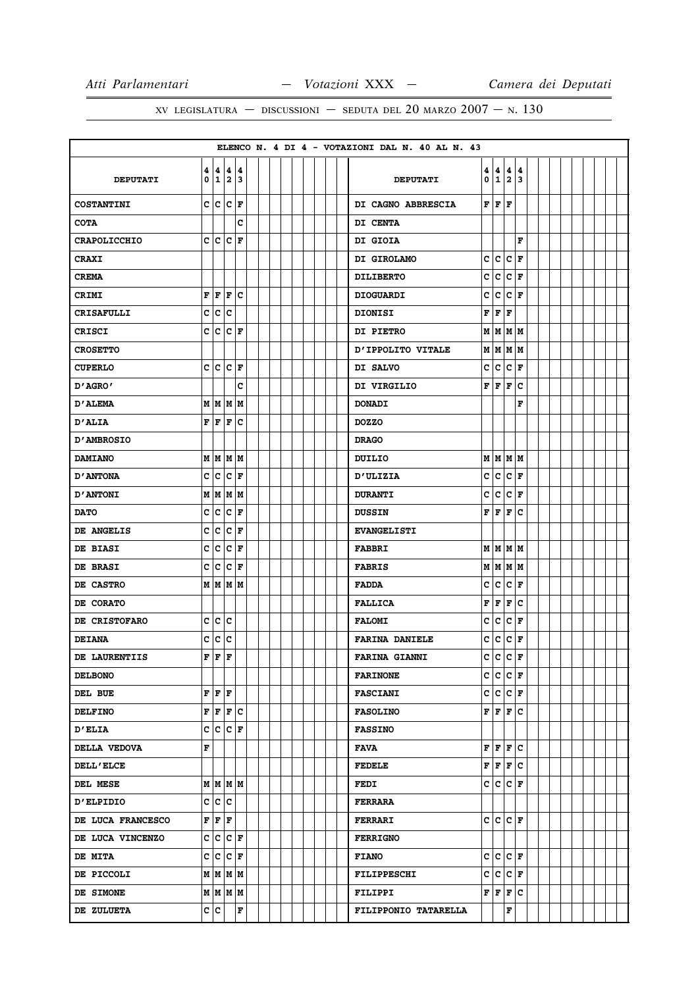|                     |             |     |                                    |    |  |  |  |  | ELENCO N. 4 DI 4 - VOTAZIONI DAL N. 40 AL N. 43 |   |                             |             |        |  |  |  |  |
|---------------------|-------------|-----|------------------------------------|----|--|--|--|--|-------------------------------------------------|---|-----------------------------|-------------|--------|--|--|--|--|
| <b>DEPUTATI</b>     | 0           |     | 4   4   4   4<br>12                | 13 |  |  |  |  | <b>DEPUTATI</b>                                 | 0 | 4   4   4  <br>1            | $ 2\rangle$ | 4<br>3 |  |  |  |  |
| <b>COSTANTINI</b>   |             |     | $c c c _F$                         |    |  |  |  |  | DI CAGNO ABBRESCIA                              |   | ${\bf F}$ $\bf{F}$ $\bf{F}$ |             |        |  |  |  |  |
| <b>COTA</b>         |             |     |                                    | c  |  |  |  |  | DI CENTA                                        |   |                             |             |        |  |  |  |  |
| <b>CRAPOLICCHIO</b> |             |     | C C C F                            |    |  |  |  |  | DI GIOIA                                        |   |                             |             | F      |  |  |  |  |
| <b>CRAXI</b>        |             |     |                                    |    |  |  |  |  | DI GIROLAMO                                     |   | $ c c c $ F                 |             |        |  |  |  |  |
| <b>CREMA</b>        |             |     |                                    |    |  |  |  |  | <b>DILIBERTO</b>                                | с | lc.                         | c           | F      |  |  |  |  |
| CRIMI               | F           |     | F F C                              |    |  |  |  |  | <b>DIOGUARDI</b>                                | c | c                           | c           | F      |  |  |  |  |
| CRISAFULLI          | c           | c   | c                                  |    |  |  |  |  | <b>DIONISI</b>                                  | F | F                           | F           |        |  |  |  |  |
| <b>CRISCI</b>       |             |     | $c c c _F$                         |    |  |  |  |  | <b>DI PIETRO</b>                                |   | м м м м                     |             |        |  |  |  |  |
| <b>CROSETTO</b>     |             |     |                                    |    |  |  |  |  | D'IPPOLITO VITALE                               |   | M   M   M   M               |             |        |  |  |  |  |
| <b>CUPERLO</b>      |             |     | C C C F                            |    |  |  |  |  | DI SALVO                                        | c | c                           | c           | l F    |  |  |  |  |
| 'AGRO אם            |             |     |                                    | c  |  |  |  |  | DI VIRGILIO                                     | F | F                           | F           | lc     |  |  |  |  |
| <b>D'ALEMA</b>      |             |     | M   M   M   M                      |    |  |  |  |  | <b>DONADI</b>                                   |   |                             |             | F      |  |  |  |  |
| <b>D'ALIA</b>       | F           |     | F F                                | Ιc |  |  |  |  | <b>DOZZO</b>                                    |   |                             |             |        |  |  |  |  |
| <b>D'AMBROSIO</b>   |             |     |                                    |    |  |  |  |  | <b>DRAGO</b>                                    |   |                             |             |        |  |  |  |  |
| <b>DAMIANO</b>      |             |     | M   M   M   M                      |    |  |  |  |  | DUILIO                                          |   | MMMM                        |             |        |  |  |  |  |
| <b>D'ANTONA</b>     | c           |     | c c                                | F  |  |  |  |  | <b>D'ULIZIA</b>                                 | c | c                           | c           | F      |  |  |  |  |
| <b>D'ANTONI</b>     |             |     | M   M   M   M                      |    |  |  |  |  | <b>DURANTI</b>                                  | c | lc.                         | c           | ١F     |  |  |  |  |
| <b>DATO</b>         | c           |     | $ {\tt C}\, {\tt C}\, $ F          |    |  |  |  |  | <b>DUSSIN</b>                                   | F | F                           | F           | c      |  |  |  |  |
| DE ANGELIS          | C           | c   | c                                  | F  |  |  |  |  | <b>EVANGELISTI</b>                              |   |                             |             |        |  |  |  |  |
| DE BIASI            | c           |     | $ {\tt C}\, {\tt C}\, $ F          |    |  |  |  |  | <b>FABBRI</b>                                   |   | M   M   M                   |             |        |  |  |  |  |
| <b>DE BRASI</b>     | c           |     | $ {\tt C}\, {\tt C}\, $ F          |    |  |  |  |  | <b>FABRIS</b>                                   |   | M   M   M   M               |             |        |  |  |  |  |
| DE CASTRO           |             |     | M   M   M   M                      |    |  |  |  |  | <b>FADDA</b>                                    | C | c                           | $ c $ F     |        |  |  |  |  |
| DE CORATO           |             |     |                                    |    |  |  |  |  | <b>FALLICA</b>                                  | F | F                           | F           | lc.    |  |  |  |  |
| DE CRISTOFARO       | c           | c.  | lc.                                |    |  |  |  |  | <b>FALOMI</b>                                   | c | lc.                         | c           | F      |  |  |  |  |
| <b>DEIANA</b>       | c           |     | c c                                |    |  |  |  |  | <b>FARINA DANIELE</b>                           | с | c                           | $ c $ F     |        |  |  |  |  |
| DE LAURENTIIS       | $\mathbf F$ | F   | ١F                                 |    |  |  |  |  | <b>FARINA GIANNI</b>                            | c | lc.                         | lc.         | l F    |  |  |  |  |
| <b>DELBONO</b>      |             |     |                                    |    |  |  |  |  | <b>FARINONE</b>                                 | c | $ c c _F$                   |             |        |  |  |  |  |
| DEL BUE             |             |     | $\mathbf{F} \mathbf{F} \mathbf{F}$ |    |  |  |  |  | <b>FASCIANI</b>                                 | c | $ c c _F$                   |             |        |  |  |  |  |
| <b>DELFINO</b>      | F           |     | $F$ $F$ $C$                        |    |  |  |  |  | <b>FASOLINO</b>                                 |   | F F F C                     |             |        |  |  |  |  |
| <b>D'ELIA</b>       |             |     | $c c c _F$                         |    |  |  |  |  | <b>FASSINO</b>                                  |   |                             |             |        |  |  |  |  |
| DELLA VEDOVA        | F           |     |                                    |    |  |  |  |  | FAVA                                            | F | F F C                       |             |        |  |  |  |  |
| <b>DELL'ELCE</b>    |             |     |                                    |    |  |  |  |  | <b>FEDELE</b>                                   | F | F F C                       |             |        |  |  |  |  |
| DEL MESE            |             |     | M   M   M   M                      |    |  |  |  |  | <b>FEDI</b>                                     | c | $ {\tt C}\, {\tt C}\, $ F   |             |        |  |  |  |  |
| <b>D'ELPIDIO</b>    |             |     | c c c                              |    |  |  |  |  | <b>FERRARA</b>                                  |   |                             |             |        |  |  |  |  |
| DE LUCA FRANCESCO   |             |     | $\mathbf{F} \mathbf{F} \mathbf{F}$ |    |  |  |  |  | <b>FERRARI</b>                                  |   | C C C F                     |             |        |  |  |  |  |
| DE LUCA VINCENZO    |             |     | $c c c _F$                         |    |  |  |  |  | <b>FERRIGNO</b>                                 |   |                             |             |        |  |  |  |  |
| <b>DE MITA</b>      |             |     | $c c c _F$                         |    |  |  |  |  | <b>FIANO</b>                                    | c | C C F                       |             |        |  |  |  |  |
| DE PICCOLI          |             |     | M   M   M   M                      |    |  |  |  |  | FILIPPESCHI                                     | c | $ c c _F$                   |             |        |  |  |  |  |
| DE SIMONE           |             |     | M   M   M   M                      |    |  |  |  |  | <b>FILIPPI</b>                                  | F | F                           |             | F C    |  |  |  |  |
| DE ZULUETA          |             | c c |                                    | F  |  |  |  |  | FILIPPONIO TATARELLA                            |   |                             | F           |        |  |  |  |  |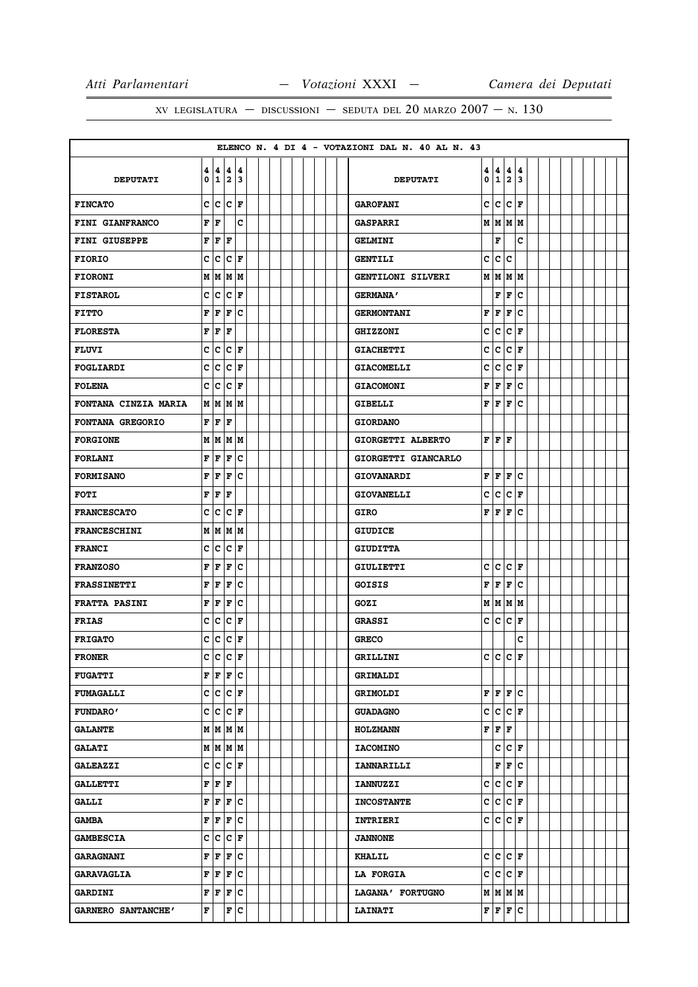|                      |        |                                    |                                    |                 |  |  |  |  |  | ELENCO N. 4 DI 4 - VOTAZIONI DAL N. 40 AL N. 43 |              |               |                      |                      |  |  |  |  |
|----------------------|--------|------------------------------------|------------------------------------|-----------------|--|--|--|--|--|-------------------------------------------------|--------------|---------------|----------------------|----------------------|--|--|--|--|
| <b>DEPUTATI</b>      | 4<br>0 |                                    | 4   4   4<br> 1 2 3                |                 |  |  |  |  |  | <b>DEPUTATI</b>                                 | 4<br>0       | 4<br>123      | 4                    | 4                    |  |  |  |  |
| <b>FINCATO</b>       | c      | lc.                                | lc.                                | ١F              |  |  |  |  |  | <b>GAROFANI</b>                                 | C            | lc.           | lc.                  | l F                  |  |  |  |  |
| FINI GIANFRANCO      | F      | F                                  |                                    | c               |  |  |  |  |  | <b>GASPARRI</b>                                 |              | M   M   M   M |                      |                      |  |  |  |  |
| FINI GIUSEPPE        | F      | F                                  | F                                  |                 |  |  |  |  |  | <b>GELMINI</b>                                  |              | F             |                      | c                    |  |  |  |  |
| <b>FIORIO</b>        | c      | c                                  | $ {\bf C} $ F                      |                 |  |  |  |  |  | <b>GENTILI</b>                                  | c            | lc.           | ١c                   |                      |  |  |  |  |
| <b>FIORONI</b>       | M      | M                                  | M                                  | M               |  |  |  |  |  | <b>GENTILONI SILVERI</b>                        | M            | M             | M                    | lм                   |  |  |  |  |
| <b>FISTAROL</b>      | c      | $\overline{\mathbf{c}}$            | c                                  | l F             |  |  |  |  |  | <b>GERMANA'</b>                                 |              | F             | F                    | lc.                  |  |  |  |  |
| <b>FITTO</b>         | F      | F                                  | F                                  | c               |  |  |  |  |  | <b>GERMONTANI</b>                               | F            | F             | F                    | c                    |  |  |  |  |
| <b>FLORESTA</b>      | F      | F                                  | F                                  |                 |  |  |  |  |  | <b>GHIZZONI</b>                                 | C            | lc.           | lc.                  | F                    |  |  |  |  |
| <b>FLUVI</b>         | c      | c                                  | c.                                 | F               |  |  |  |  |  | <b>GIACHETTI</b>                                | c            | lc.           | lc.                  | l F                  |  |  |  |  |
| FOGLIARDI            | c      | c                                  | c                                  | F               |  |  |  |  |  | <b>GIACOMELLI</b>                               | c            | c             | c                    | F                    |  |  |  |  |
| <b>FOLENA</b>        | c      | c                                  | c                                  | F               |  |  |  |  |  | <b>GIACOMONI</b>                                | F            | F             | F                    | lc.                  |  |  |  |  |
| FONTANA CINZIA MARIA | M      | M                                  | М                                  | M               |  |  |  |  |  | <b>GIBELLI</b>                                  | F            | F             | F                    | lc.                  |  |  |  |  |
| FONTANA GREGORIO     | F      | F                                  | l F                                |                 |  |  |  |  |  | <b>GIORDANO</b>                                 |              |               |                      |                      |  |  |  |  |
| <b>FORGIONE</b>      | М      | M                                  | M  M                               |                 |  |  |  |  |  | GIORGETTI ALBERTO                               | F            | lF.           | ١F                   |                      |  |  |  |  |
| <b>FORLANI</b>       | F      | F                                  | F                                  | c               |  |  |  |  |  | GIORGETTI GIANCARLO                             |              |               |                      |                      |  |  |  |  |
| <b>FORMISANO</b>     | F      | F                                  | F                                  | Iс              |  |  |  |  |  | <b>GIOVANARDI</b>                               | F            | F             | F                    | c                    |  |  |  |  |
| FOTI                 | F      | F                                  | F                                  |                 |  |  |  |  |  | <b>GIOVANELLI</b>                               | c            | c             | c                    | F                    |  |  |  |  |
| <b>FRANCESCATO</b>   | c      | c                                  | $ {\bf C}\> {\bf F}\>$             |                 |  |  |  |  |  | <b>GIRO</b>                                     | F            | F             | F                    | lc.                  |  |  |  |  |
| <b>FRANCESCHINI</b>  | M      | M                                  | M                                  | M               |  |  |  |  |  | <b>GIUDICE</b>                                  |              |               |                      |                      |  |  |  |  |
| <b>FRANCI</b>        | C      | c                                  | c                                  | F               |  |  |  |  |  | <b>GIUDITTA</b>                                 |              |               |                      |                      |  |  |  |  |
| <b>FRANZOSO</b>      | F      | F                                  | F                                  | c               |  |  |  |  |  | <b>GIULIETTI</b>                                | c            | lc.           | $ {\bf C}  {\bf F} $ |                      |  |  |  |  |
| <b>FRASSINETTI</b>   | F      | F                                  | F                                  | c               |  |  |  |  |  | GOISIS                                          | F            | F             | F                    | c                    |  |  |  |  |
| <b>FRATTA PASINI</b> | F      | F                                  | F                                  | c               |  |  |  |  |  | GOZI                                            | M            | M   M   M     |                      |                      |  |  |  |  |
| <b>FRIAS</b>         | c      | c                                  | с                                  | F               |  |  |  |  |  | <b>GRASSI</b>                                   | c            | lc.           | c                    | F                    |  |  |  |  |
| <b>FRIGATO</b>       | C      | c                                  | c                                  | F               |  |  |  |  |  | <b>GRECO</b>                                    |              |               |                      | C                    |  |  |  |  |
| <b>FRONER</b>        | Ć      | c                                  | C                                  | F               |  |  |  |  |  | GRILLINI                                        | $\mathbf{C}$ | $\tilde{c}$   | c                    | $\mathbf{F}$         |  |  |  |  |
| <b>FUGATTI</b>       |        |                                    | F F F C                            |                 |  |  |  |  |  | <b>GRIMALDI</b>                                 |              |               |                      |                      |  |  |  |  |
| <b>FUMAGALLI</b>     |        |                                    | $c c c _F$                         |                 |  |  |  |  |  | <b>GRIMOLDI</b>                                 |              | F F F C       |                      |                      |  |  |  |  |
| <b>FUNDARO'</b>      |        |                                    | $c c c _F$                         |                 |  |  |  |  |  | <b>GUADAGNO</b>                                 | C            | c             |                      | $ {\bf C}  {\bf F} $ |  |  |  |  |
| <b>GALANTE</b>       |        |                                    |                                    | $M$ $M$ $M$ $M$ |  |  |  |  |  | <b>HOLZMANN</b>                                 | F            | F F           |                      |                      |  |  |  |  |
| <b>GALATI</b>        |        |                                    |                                    | M   M   M   M   |  |  |  |  |  | <b>IACOMINO</b>                                 |              | c             | $ {\bf C}  {\bf F} $ |                      |  |  |  |  |
| <b>GALEAZZI</b>      |        |                                    | $c c c _F$                         |                 |  |  |  |  |  | <b>IANNARILLI</b>                               |              | F             |                      | F C                  |  |  |  |  |
| <b>GALLETTI</b>      |        | $\mathbf{F} \mathbf{F} \mathbf{F}$ |                                    |                 |  |  |  |  |  | <b>IANNUZZI</b>                                 | c            | c             |                      | $ c _{\mathbf{F}}$   |  |  |  |  |
| <b>GALLI</b>         | F      |                                    |                                    | F F C           |  |  |  |  |  | <b>INCOSTANTE</b>                               | c            | $ c c _F$     |                      |                      |  |  |  |  |
| <b>GAMBA</b>         | F      |                                    |                                    | F F C           |  |  |  |  |  | <b>INTRIERI</b>                                 |              | C C C F       |                      |                      |  |  |  |  |
| <b>GAMBESCIA</b>     | c      |                                    | $ c c _F$                          |                 |  |  |  |  |  | <b>JANNONE</b>                                  |              |               |                      |                      |  |  |  |  |
| <b>GARAGNANI</b>     | F      |                                    |                                    | $F$ $F$ $C$     |  |  |  |  |  | <b>KHALIL</b>                                   |              | C C C F       |                      |                      |  |  |  |  |
| <b>GARAVAGLIA</b>    | F      | F                                  | F                                  | c               |  |  |  |  |  | <b>LA FORGIA</b>                                | c            | $ c c _F$     |                      |                      |  |  |  |  |
| <b>GARDINI</b>       |        |                                    | $\mathbf{F} \mathbf{F} \mathbf{F}$ | c               |  |  |  |  |  | LAGANA' FORTUGNO                                |              | M   M   M     |                      |                      |  |  |  |  |
| GARNERO SANTANCHE'   | F      |                                    |                                    | F C             |  |  |  |  |  | <b>LAINATI</b>                                  |              | F F F C       |                      |                      |  |  |  |  |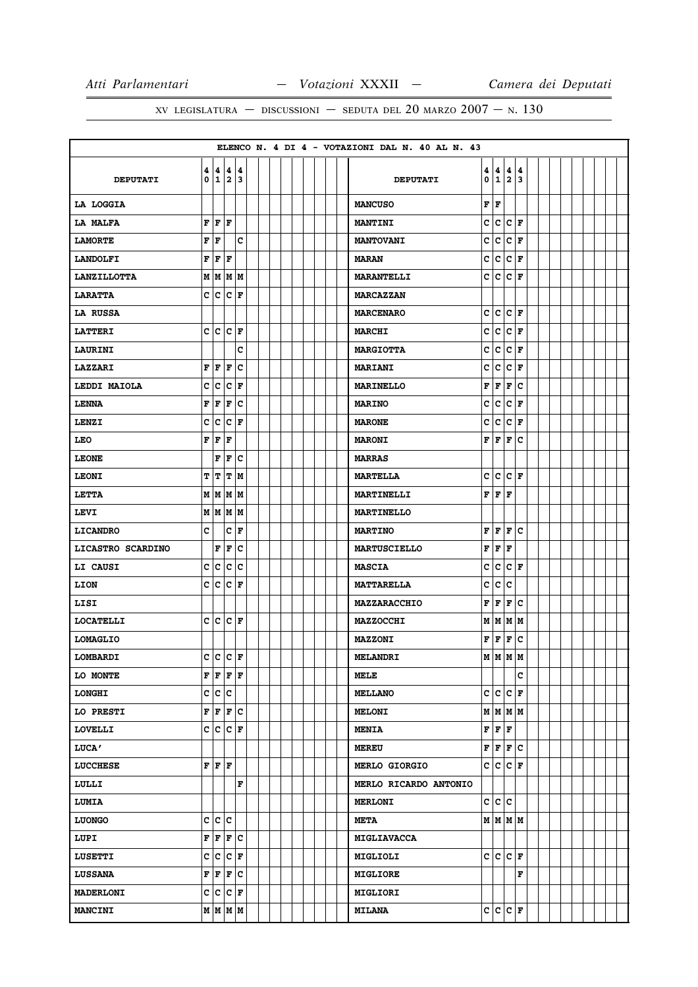|                    |   |    |                                              |     |  |  |  |  | ELENCO N. 4 DI 4 - VOTAZIONI DAL N. 40 AL N. 43 |   |                                                                          |                           |        |  |  |  |  |
|--------------------|---|----|----------------------------------------------|-----|--|--|--|--|-------------------------------------------------|---|--------------------------------------------------------------------------|---------------------------|--------|--|--|--|--|
| <b>DEPUTATI</b>    |   |    | 4   4   4   4<br>0 1 2 3                     |     |  |  |  |  | <b>DEPUTATI</b>                                 |   | $\begin{array}{ c c c }\n 4 & 4 & 4 \\ \hline\n 0 & 1 & 2\n \end{array}$ |                           | 4<br>3 |  |  |  |  |
| LA LOGGIA          |   |    |                                              |     |  |  |  |  | <b>MANCUSO</b>                                  |   | F F                                                                      |                           |        |  |  |  |  |
| LA MALFA           |   |    | ${\bf F}$ $\bf{F}$ $\bf{F}$                  |     |  |  |  |  | <b>MANTINI</b>                                  |   | $ c c c $ F                                                              |                           |        |  |  |  |  |
| <b>LAMORTE</b>     |   | FF |                                              | c   |  |  |  |  | <b>MANTOVANI</b>                                | c | $ c c _F$                                                                |                           |        |  |  |  |  |
| <b>LANDOLFI</b>    |   |    | ${\bf F} \,   \, {\bf F} \,   \, {\bf F} \,$ |     |  |  |  |  | <b>MARAN</b>                                    |   | c c F                                                                    |                           |        |  |  |  |  |
| <b>LANZILLOTTA</b> |   |    | M   M   M   M                                |     |  |  |  |  | <b>MARANTELLI</b>                               |   | c c                                                                      | $ {\bf C} $ F             |        |  |  |  |  |
| <b>LARATTA</b>     |   |    | C C C F                                      |     |  |  |  |  | <b>MARCAZZAN</b>                                |   |                                                                          |                           |        |  |  |  |  |
| LA RUSSA           |   |    |                                              |     |  |  |  |  | <b>MARCENARO</b>                                |   | $ c c c $ F                                                              |                           |        |  |  |  |  |
| <b>LATTERI</b>     |   |    | C C C F                                      |     |  |  |  |  | <b>MARCHI</b>                                   |   | c c r                                                                    |                           |        |  |  |  |  |
| LAURINI            |   |    |                                              | c   |  |  |  |  | <b>MARGIOTTA</b>                                | c | $ c c _F$                                                                |                           |        |  |  |  |  |
| <b>LAZZARI</b>     |   |    | F F F                                        | Ιc  |  |  |  |  | <b>MARIANI</b>                                  | c | c.                                                                       | $ {\bf C}\, $ F           |        |  |  |  |  |
| LEDDI MAIOLA       |   |    | C C C F                                      |     |  |  |  |  | <b>MARINELLO</b>                                | F | F F C                                                                    |                           |        |  |  |  |  |
| <b>LENNA</b>       |   |    | F F F C                                      |     |  |  |  |  | <b>MARINO</b>                                   | c | c.                                                                       | $ c _F$                   |        |  |  |  |  |
| LENZI              |   |    | C C C F                                      |     |  |  |  |  | <b>MARONE</b>                                   | c |                                                                          | $ {\tt C}\, {\tt C}\, $ F |        |  |  |  |  |
| <b>LEO</b>         |   |    | ${\bf F} \,   \, {\bf F} \,   \, {\bf F} \,$ |     |  |  |  |  | <b>MARONI</b>                                   |   | F F F C                                                                  |                           |        |  |  |  |  |
| <b>LEONE</b>       |   |    | F F C                                        |     |  |  |  |  | <b>MARRAS</b>                                   |   |                                                                          |                           |        |  |  |  |  |
| <b>LEONI</b>       |   |    | T T T M                                      |     |  |  |  |  | <b>MARTELLA</b>                                 |   | $ c c c $ F                                                              |                           |        |  |  |  |  |
| LETTA              |   |    | M   M   M   M                                |     |  |  |  |  | <b>MARTINELLI</b>                               |   | F F                                                                      | ١F                        |        |  |  |  |  |
| LEVI               |   |    | $M$ $M$ $M$ $M$                              |     |  |  |  |  | <b>MARTINELLO</b>                               |   |                                                                          |                           |        |  |  |  |  |
| <b>LICANDRO</b>    | c |    |                                              | C F |  |  |  |  | <b>MARTINO</b>                                  |   | F F F C                                                                  |                           |        |  |  |  |  |
| LICASTRO SCARDINO  |   |    | F F C                                        |     |  |  |  |  | <b>MARTUSCIELLO</b>                             |   | F F F                                                                    |                           |        |  |  |  |  |
| LI CAUSI           |   |    | c c c c                                      |     |  |  |  |  | <b>MASCIA</b>                                   | c | $ {\tt C}\, {\tt C}\, $ F                                                |                           |        |  |  |  |  |
| LION               |   |    | C C C F                                      |     |  |  |  |  | <b>MATTARELLA</b>                               |   | c c c                                                                    |                           |        |  |  |  |  |
| LISI               |   |    |                                              |     |  |  |  |  | MAZZARACCHIO                                    | F | F F C                                                                    |                           |        |  |  |  |  |
| <b>LOCATELLI</b>   |   |    | C C C F                                      |     |  |  |  |  | <b>MAZZOCCHI</b>                                |   | M   M   M   M                                                            |                           |        |  |  |  |  |
| <b>LOMAGLIO</b>    |   |    |                                              |     |  |  |  |  | <b>MAZZONI</b>                                  |   | F F F C                                                                  |                           |        |  |  |  |  |
| LOMBARDI           |   |    | $c c c _F$                                   |     |  |  |  |  | <b>MELANDRI</b>                                 |   | м м м м                                                                  |                           |        |  |  |  |  |
| LO MONTE           |   |    | F F F F                                      |     |  |  |  |  | MELE                                            |   |                                                                          |                           | C      |  |  |  |  |
| <b>LONGHI</b>      |   |    | c c c                                        |     |  |  |  |  | <b>MELLANO</b>                                  |   | $ c c c _F$                                                              |                           |        |  |  |  |  |
| LO PRESTI          |   |    | F F F C                                      |     |  |  |  |  | <b>MELONI</b>                                   |   | M/M/M                                                                    |                           |        |  |  |  |  |
| <b>LOVELLI</b>     |   |    | C C C F                                      |     |  |  |  |  | <b>MENIA</b>                                    |   | $\mathbf{F} \mathbf{F} \mathbf{F}$                                       |                           |        |  |  |  |  |
| <b>LUCA'</b>       |   |    |                                              |     |  |  |  |  | <b>MEREU</b>                                    |   | F F F C                                                                  |                           |        |  |  |  |  |
| <b>LUCCHESE</b>    |   |    | F F F                                        |     |  |  |  |  | <b>MERLO GIORGIO</b>                            |   | $ c c c _F$                                                              |                           |        |  |  |  |  |
| LULLI              |   |    |                                              | F   |  |  |  |  | MERLO RICARDO ANTONIO                           |   |                                                                          |                           |        |  |  |  |  |
| <b>LUMIA</b>       |   |    |                                              |     |  |  |  |  | <b>MERLONI</b>                                  |   | c c c                                                                    |                           |        |  |  |  |  |
| <b>LUONGO</b>      |   |    | c c c                                        |     |  |  |  |  | <b>META</b>                                     |   | M   M   M   M                                                            |                           |        |  |  |  |  |
| LUPI               |   |    | F F F C                                      |     |  |  |  |  | <b>MIGLIAVACCA</b>                              |   |                                                                          |                           |        |  |  |  |  |
| LUSETTI            |   |    | C C C F                                      |     |  |  |  |  | MIGLIOLI                                        |   | $ c c c _F$                                                              |                           |        |  |  |  |  |
| <b>LUSSANA</b>     |   |    | F F F C                                      |     |  |  |  |  | <b>MIGLIORE</b>                                 |   |                                                                          |                           | F      |  |  |  |  |
| <b>MADERLONI</b>   |   |    | C C C F                                      |     |  |  |  |  | <b>MIGLIORI</b>                                 |   |                                                                          |                           |        |  |  |  |  |
| <b>MANCINI</b>     |   |    | $M$ $ M$ $ M$                                |     |  |  |  |  | <b>MILANA</b>                                   |   | $ c c c _F$                                                              |                           |        |  |  |  |  |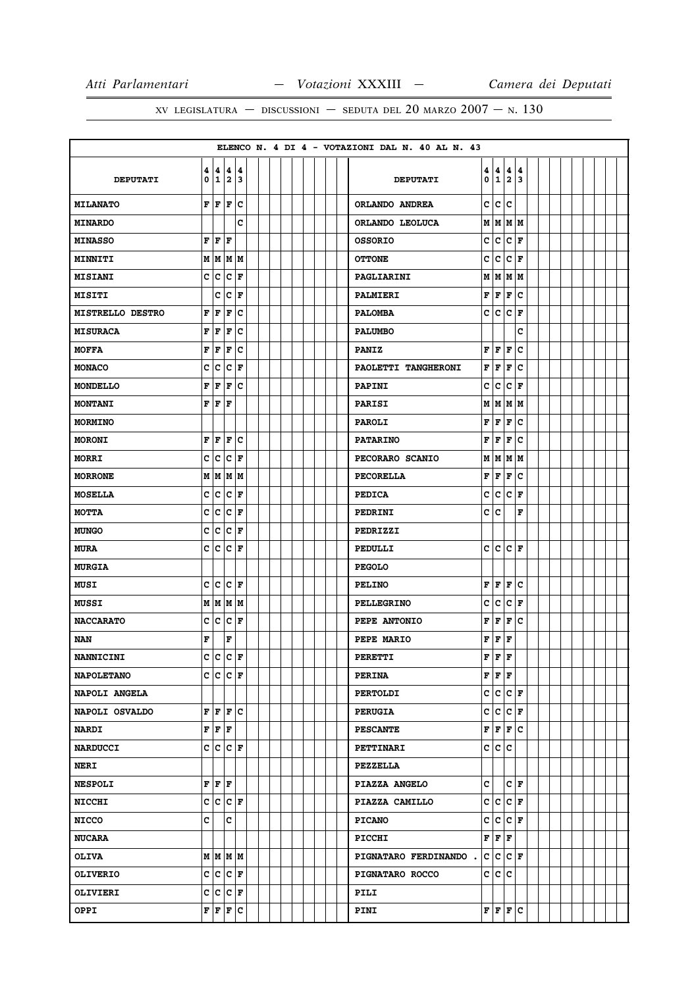|                         |        |                         |                                    |                                               |  |  |  |  | ELENCO N. 4 DI 4 - VOTAZIONI DAL N. 40 AL N. 43            |  |
|-------------------------|--------|-------------------------|------------------------------------|-----------------------------------------------|--|--|--|--|------------------------------------------------------------|--|
| <b>DEPUTATI</b>         | 4<br>0 |                         | 4   4   4<br> 1 2 3                |                                               |  |  |  |  | 4<br>4<br>4<br>4<br>123<br>0<br><b>DEPUTATI</b>            |  |
|                         |        |                         |                                    |                                               |  |  |  |  |                                                            |  |
| <b>MILANATO</b>         | F      | F                       | F                                  | Iс                                            |  |  |  |  | C<br> c<br>١c<br>ORLANDO ANDREA                            |  |
| <b>MINARDO</b>          |        |                         |                                    | C                                             |  |  |  |  | M   M   M   M<br>ORLANDO LEOLUCA                           |  |
| <b>MINASSO</b>          | F      | F                       | F                                  |                                               |  |  |  |  | C<br> c<br>lc.<br>l F<br><b>OSSORIO</b>                    |  |
| <b>MINNITI</b>          |        |                         | м м м м                            |                                               |  |  |  |  | c<br> c<br> c<br>F<br><b>OTTONE</b>                        |  |
| <b>MISIANI</b>          | C      | c                       | C                                  | F                                             |  |  |  |  | M<br>M<br>lм<br>lм<br>PAGLIARINI                           |  |
| <b>MISITI</b>           |        | c                       | c                                  | ١F                                            |  |  |  |  | F<br>F<br>F<br>lc.<br><b>PALMIERI</b>                      |  |
| <b>MISTRELLO DESTRO</b> | F      | F                       | F                                  | c                                             |  |  |  |  | $ {\bf C}\>  $ ${\bf F}$<br>c<br>lc.<br><b>PALOMBA</b>     |  |
| <b>MISURACA</b>         | F      | F                       | F                                  | c                                             |  |  |  |  | c<br><b>PALUMBO</b>                                        |  |
| <b>MOFFA</b>            | F      | F                       | F                                  | c                                             |  |  |  |  | F<br>c<br>F<br>F<br><b>PANIZ</b>                           |  |
| <b>MONACO</b>           | c      | c                       | c                                  | F                                             |  |  |  |  | F<br>F<br>F<br>c<br>PAOLETTI TANGHERONI                    |  |
| <b>MONDELLO</b>         | F      | F                       | F                                  | Iс                                            |  |  |  |  | c<br> c<br>c<br> F<br>PAPINI                               |  |
| <b>MONTANI</b>          | F      | F                       | F                                  |                                               |  |  |  |  | M<br>M<br>M<br>M<br><b>PARISI</b>                          |  |
| <b>MORMINO</b>          |        |                         |                                    |                                               |  |  |  |  | F<br>F<br>F<br>lc<br><b>PAROLI</b>                         |  |
| <b>MORONI</b>           | F      | F                       | F                                  | c                                             |  |  |  |  | F<br>F<br>F<br>c<br><b>PATARINO</b>                        |  |
| MORRI                   | C      | c                       | C                                  | F                                             |  |  |  |  | MM<br>Μ<br>M<br>PECORARO SCANIO                            |  |
| <b>MORRONE</b>          | Μ      |                         | MM                                 | M                                             |  |  |  |  | F<br>F<br>$\mathbf c$<br>F<br><b>PECORELLA</b>             |  |
| <b>MOSELLA</b>          | c      | c                       | c                                  | F                                             |  |  |  |  | c<br> c<br>c<br>F<br><b>PEDICA</b>                         |  |
| <b>MOTTA</b>            | С      | c                       | c                                  | F                                             |  |  |  |  | C<br> c<br>F<br>PEDRINI                                    |  |
| <b>MUNGO</b>            | C      | C                       | C                                  | F                                             |  |  |  |  | PEDRIZZI                                                   |  |
| <b>MURA</b>             | c      | c                       | c                                  | ١F                                            |  |  |  |  | lc.<br>c<br>lc.<br>١F<br>PEDULLI                           |  |
| <b>MURGIA</b>           |        |                         |                                    |                                               |  |  |  |  | <b>PEGOLO</b>                                              |  |
| <b>MUSI</b>             | c      | c                       | c                                  | l F                                           |  |  |  |  | F<br>F<br>F<br>c<br><b>PELINO</b>                          |  |
| <b>MUSSI</b>            | М      |                         | MMM                                |                                               |  |  |  |  | c<br> c<br> c<br>F<br><b>PELLEGRINO</b>                    |  |
| <b>NACCARATO</b>        | c      | c                       | c                                  | F                                             |  |  |  |  | F<br>F<br>F<br>c<br>PEPE ANTONIO                           |  |
| <b>NAN</b>              | F      |                         | F                                  |                                               |  |  |  |  | F<br>F<br>F<br>PEPE MARIO                                  |  |
| <b>NANNICINI</b>        | c      | $\overline{\mathsf{c}}$ | $\bar{\mathbf{C}}$                 | ١F                                            |  |  |  |  | $\mathbf F$<br>F<br>F<br><b>PERETTI</b>                    |  |
| <b>NAPOLETANO</b>       |        |                         | C C C F                            |                                               |  |  |  |  | ${\bf F} \,   \, {\bf F} \,   \, {\bf F}$<br><b>PERINA</b> |  |
| NAPOLI ANGELA           |        |                         |                                    |                                               |  |  |  |  | $c c c _F$<br><b>PERTOLDI</b>                              |  |
| NAPOLI OSVALDO          | F      |                         | F F C                              |                                               |  |  |  |  | c<br>$ c c _F$<br><b>PERUGIA</b>                           |  |
| <b>NARDI</b>            |        |                         | $\mathbf{F} \mathbf{F} \mathbf{F}$ |                                               |  |  |  |  | F F F C<br><b>PESCANTE</b>                                 |  |
| <b>NARDUCCI</b>         |        |                         | $c c c $ F                         |                                               |  |  |  |  | c<br> c c<br><b>PETTINARI</b>                              |  |
| <b>NERI</b>             |        |                         |                                    |                                               |  |  |  |  | <b>PEZZELLA</b>                                            |  |
| <b>NESPOLI</b>          |        |                         | $\mathbf{F} \mathbf{F} \mathbf{F}$ |                                               |  |  |  |  | c<br>$ c _{\mathbf{F}}$<br>PIAZZA ANGELO                   |  |
| <b>NICCHI</b>           |        |                         | $c c c _F$                         |                                               |  |  |  |  | $c c c _F$<br>PIAZZA CAMILLO                               |  |
| <b>NICCO</b>            | c      |                         | c.                                 |                                               |  |  |  |  | c<br> C C F<br><b>PICANO</b>                               |  |
| <b>NUCARA</b>           |        |                         |                                    |                                               |  |  |  |  | F F F<br><b>PICCHI</b>                                     |  |
| <b>OLIVA</b>            |        |                         |                                    | M   M   M   M                                 |  |  |  |  | $ {\tt C}\, {\tt C}\, {\tt F}\, $<br>PIGNATARO FERDINANDO. |  |
| <b>OLIVERIO</b>         |        |                         | $c c c _F$                         |                                               |  |  |  |  | c<br> c c<br><b>PIGNATARO ROCCO</b>                        |  |
| OLIVIERI                |        |                         | $c c c _F$                         |                                               |  |  |  |  | PILI                                                       |  |
| OPPI                    |        |                         |                                    | $\mathbf{F} \mathbf{F} \mathbf{F} \mathbf{C}$ |  |  |  |  | F F F C<br>PINI                                            |  |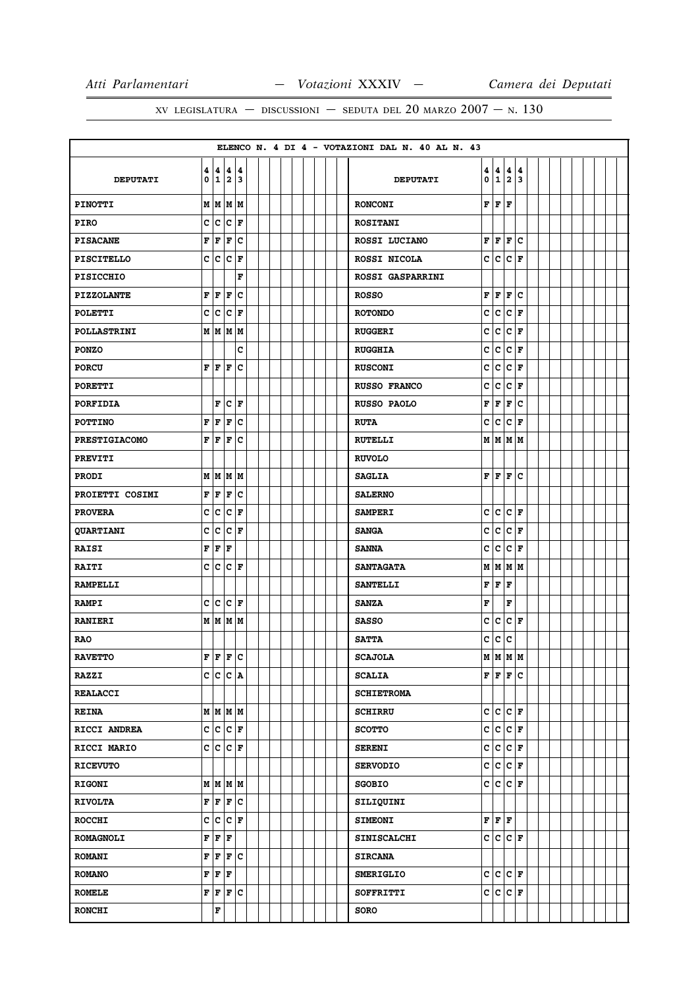|                      |        |                         |                           |                      |  |  |  |  | ELENCO N. 4 DI 4 - VOTAZIONI DAL N. 40 AL N. 43 |              |                                    |                         |                      |  |  |  |  |
|----------------------|--------|-------------------------|---------------------------|----------------------|--|--|--|--|-------------------------------------------------|--------------|------------------------------------|-------------------------|----------------------|--|--|--|--|
| <b>DEPUTATI</b>      | 4<br>0 |                         | 4 4 4<br>123              |                      |  |  |  |  | <b>DEPUTATI</b>                                 | 4<br>0       | 4<br>$\overline{1}$ $\overline{2}$ | 4                       | 4<br>3               |  |  |  |  |
| <b>PINOTTI</b>       | М      |                         | MMM                       |                      |  |  |  |  | <b>RONCONI</b>                                  | F            | F                                  | F                       |                      |  |  |  |  |
| <b>PIRO</b>          | c      | c                       | c.                        | F                    |  |  |  |  | <b>ROSITANI</b>                                 |              |                                    |                         |                      |  |  |  |  |
| <b>PISACANE</b>      | F      | F                       | F                         | c                    |  |  |  |  | ROSSI LUCIANO                                   | F            | F                                  | F                       | c                    |  |  |  |  |
| <b>PISCITELLO</b>    | C      | c.                      | $ {\tt C} $ F             |                      |  |  |  |  | ROSSI NICOLA                                    | c            | c                                  |                         | $ {\bf c}\, $ F      |  |  |  |  |
| <b>PISICCHIO</b>     |        |                         |                           | F                    |  |  |  |  | ROSSI GASPARRINI                                |              |                                    |                         |                      |  |  |  |  |
| <b>PIZZOLANTE</b>    | F      | F                       | F                         | C                    |  |  |  |  | <b>ROSSO</b>                                    | F            | F                                  | F                       | c                    |  |  |  |  |
| <b>POLETTI</b>       | c      | $\overline{\mathsf{c}}$ |                           | $ {\bf C}\, $ F      |  |  |  |  | <b>ROTONDO</b>                                  | C            | c                                  |                         | $ c _{\mathbf{F}}$   |  |  |  |  |
| <b>POLLASTRINI</b>   |        |                         | M   M   M   M             |                      |  |  |  |  | <b>RUGGERI</b>                                  | C            | c                                  | $\overline{\mathsf{c}}$ | F                    |  |  |  |  |
| <b>PONZO</b>         |        |                         |                           | c                    |  |  |  |  | <b>RUGGHIA</b>                                  | c            | c                                  | c                       | l F                  |  |  |  |  |
| <b>PORCU</b>         | F      | l F                     | F                         | c                    |  |  |  |  | <b>RUSCONI</b>                                  | C            | c                                  | c                       | l F                  |  |  |  |  |
| <b>PORETTI</b>       |        |                         |                           |                      |  |  |  |  | <b>RUSSO FRANCO</b>                             | c            | c                                  |                         | $ c _{\mathbf{F}}$   |  |  |  |  |
| <b>PORFIDIA</b>      |        | F                       |                           | $ {\bf C}  {\bf F} $ |  |  |  |  | <b>RUSSO PAOLO</b>                              | F            | F                                  | F                       | c                    |  |  |  |  |
| <b>POTTINO</b>       | F      | F                       | F                         | C                    |  |  |  |  | <b>RUTA</b>                                     | c            | c                                  | c                       | F                    |  |  |  |  |
| <b>PRESTIGIACOMO</b> | F      | F                       | $\mathbf{F}$              | c                    |  |  |  |  | <b>RUTELLI</b>                                  |              | M   M   M   M                      |                         |                      |  |  |  |  |
| <b>PREVITI</b>       |        |                         |                           |                      |  |  |  |  | <b>RUVOLO</b>                                   |              |                                    |                         |                      |  |  |  |  |
| <b>PRODI</b>         |        |                         | M   M   M   M             |                      |  |  |  |  | <b>SAGLIA</b>                                   | F            | F                                  | lF.                     | lc.                  |  |  |  |  |
| PROIETTI COSIMI      | F      | F                       | F                         | c                    |  |  |  |  | <b>SALERNO</b>                                  |              |                                    |                         |                      |  |  |  |  |
| <b>PROVERA</b>       | с      | c                       |                           | $ {\bf c}\, $ F      |  |  |  |  | <b>SAMPERI</b>                                  | c            | c                                  |                         | $ {\bf c}\, $ F      |  |  |  |  |
| QUARTIANI            | C      | c                       | c                         | ١F                   |  |  |  |  | <b>SANGA</b>                                    | C            | c                                  | c                       | l F                  |  |  |  |  |
| <b>RAISI</b>         | F      | F                       | F                         |                      |  |  |  |  | <b>SANNA</b>                                    | c            | c                                  | $ c _{\mathbf{F}}$      |                      |  |  |  |  |
| <b>RAITI</b>         | C      |                         | $ {\tt C}\, {\tt C}\, $ F |                      |  |  |  |  | <b>SANTAGATA</b>                                |              | M   M   M   M                      |                         |                      |  |  |  |  |
| <b>RAMPELLI</b>      |        |                         |                           |                      |  |  |  |  | <b>SANTELLI</b>                                 | F            | F                                  | F                       |                      |  |  |  |  |
| <b>RAMPI</b>         | c      |                         | $ c c _F$                 |                      |  |  |  |  | <b>SANZA</b>                                    | F            |                                    | F                       |                      |  |  |  |  |
| <b>RANIERI</b>       |        |                         | M   M   M   M             |                      |  |  |  |  | <b>SASSO</b>                                    | c            | c                                  |                         | $ {\bf C}  {\bf F} $ |  |  |  |  |
| <b>RAO</b>           |        |                         |                           |                      |  |  |  |  | <b>SATTA</b>                                    | c            | c.                                 | c                       |                      |  |  |  |  |
| <b>RAVETTO</b>       |        |                         | F F F C                   |                      |  |  |  |  | <b>SCAJOLA</b>                                  |              | мімімім                            |                         |                      |  |  |  |  |
| <b>RAZZI</b>         |        |                         | C C C A                   |                      |  |  |  |  | <b>SCALIA</b>                                   |              | F F F C                            |                         |                      |  |  |  |  |
| <b>REALACCI</b>      |        |                         |                           |                      |  |  |  |  | <b>SCHIETROMA</b>                               |              |                                    |                         |                      |  |  |  |  |
| <b>REINA</b>         |        |                         | M   M   M   M             |                      |  |  |  |  | <b>SCHIRRU</b>                                  |              | C C C F                            |                         |                      |  |  |  |  |
| RICCI ANDREA         |        |                         | $ c c c _F$               |                      |  |  |  |  | <b>SCOTTO</b>                                   |              | $c c c _F$                         |                         |                      |  |  |  |  |
| RICCI MARIO          |        |                         | C C C F                   |                      |  |  |  |  | <b>SERENI</b>                                   | $\mathbf{c}$ | c                                  |                         | $ {\bf C}\, $ F      |  |  |  |  |
| <b>RICEVUTO</b>      |        |                         |                           |                      |  |  |  |  | <b>SERVODIO</b>                                 |              | $c c c _{\mathbf{F}}$              |                         |                      |  |  |  |  |
| <b>RIGONI</b>        |        |                         | мімімім                   |                      |  |  |  |  | <b>SGOBIO</b>                                   |              | C C C F                            |                         |                      |  |  |  |  |
| <b>RIVOLTA</b>       |        |                         | F F F C                   |                      |  |  |  |  | SILIQUINI                                       |              |                                    |                         |                      |  |  |  |  |
| <b>ROCCHI</b>        |        |                         | $c c c $ F                |                      |  |  |  |  | <b>SIMEONI</b>                                  |              | F F F                              |                         |                      |  |  |  |  |
| <b>ROMAGNOLI</b>     | F      | F                       | F                         |                      |  |  |  |  | <b>SINISCALCHI</b>                              |              | C C C F                            |                         |                      |  |  |  |  |
| <b>ROMANI</b>        |        |                         | F F F C                   |                      |  |  |  |  | <b>SIRCANA</b>                                  |              |                                    |                         |                      |  |  |  |  |
| <b>ROMANO</b>        | F      | F                       | F                         |                      |  |  |  |  | <b>SMERIGLIO</b>                                |              | c c                                |                         | $ c $ F              |  |  |  |  |
| <b>ROMELE</b>        | F      |                         | F F C                     |                      |  |  |  |  | SOFFRITTI                                       |              | $c c c _F$                         |                         |                      |  |  |  |  |
| <b>RONCHI</b>        |        | F                       |                           |                      |  |  |  |  | <b>SORO</b>                                     |              |                                    |                         |                      |  |  |  |  |